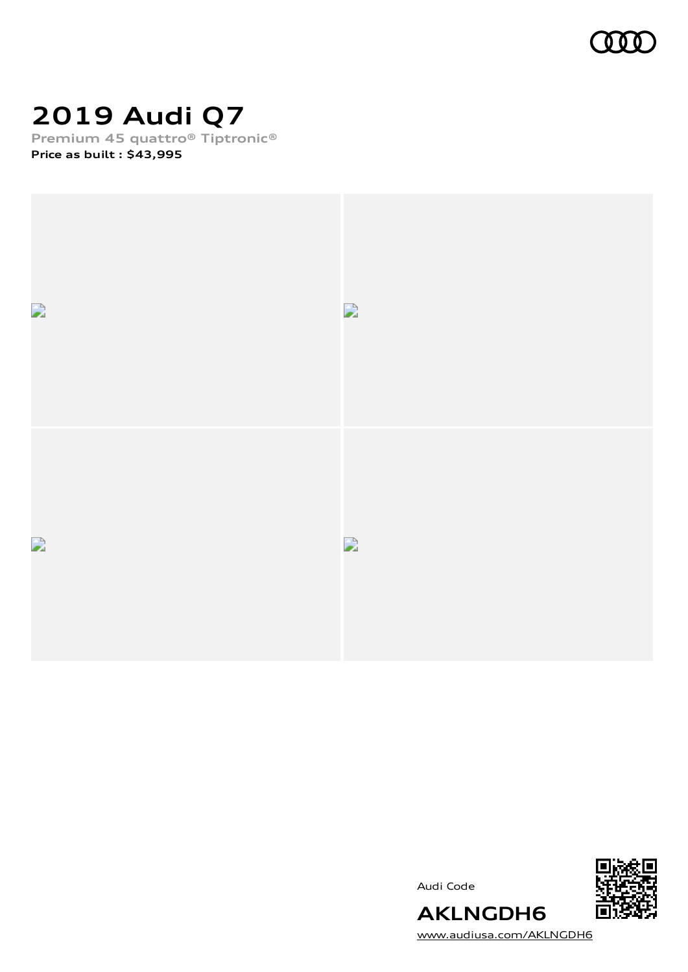

# **2019 Audi Q7**

**Premium 45 quattro® Tiptronic® Price as built [:](#page-10-0) \$43,995**







[www.audiusa.com/AKLNGDH6](https://www.audiusa.com/AKLNGDH6)

**AKLNGDH6**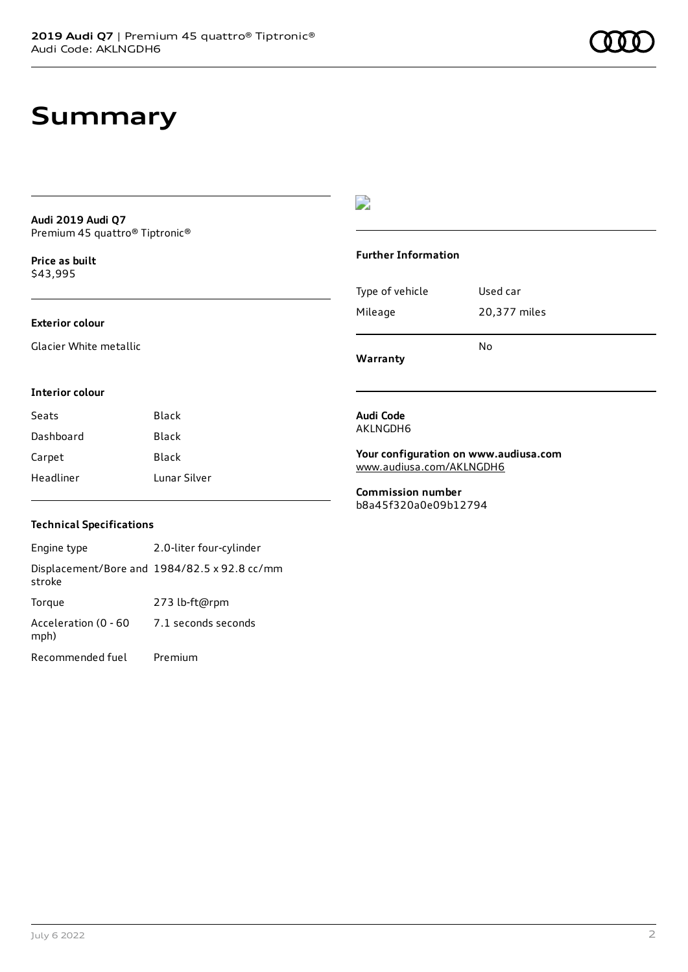## **Summary**

**Audi 2019 Audi Q7** Premium 45 quattro® Tiptronic®

**Price as buil[t](#page-10-0)** \$43,995

#### **Exterior colour**

Glacier White metallic

## D

#### **Further Information**

|                 | N٥           |
|-----------------|--------------|
| Mileage         | 20,377 miles |
| Type of vehicle | Used car     |

**Warranty**

#### **Interior colour**

| Seats     | Black        |
|-----------|--------------|
| Dashboard | Black        |
| Carpet    | Black        |
| Headliner | Lunar Silver |

### **Audi Code** AKLNGDH6

**Your configuration on www.audiusa.com** [www.audiusa.com/AKLNGDH6](https://www.audiusa.com/AKLNGDH6)

**Commission number** b8a45f320a0e09b12794

### **Technical Specifications**

Engine type 2.0-liter four-cylinder Displacement/Bore and 1984/82.5 x 92.8 cc/mm stroke Torque 273 lb-ft@rpm Acceleration (0 - 60 mph) 7.1 seconds seconds Recommended fuel Premium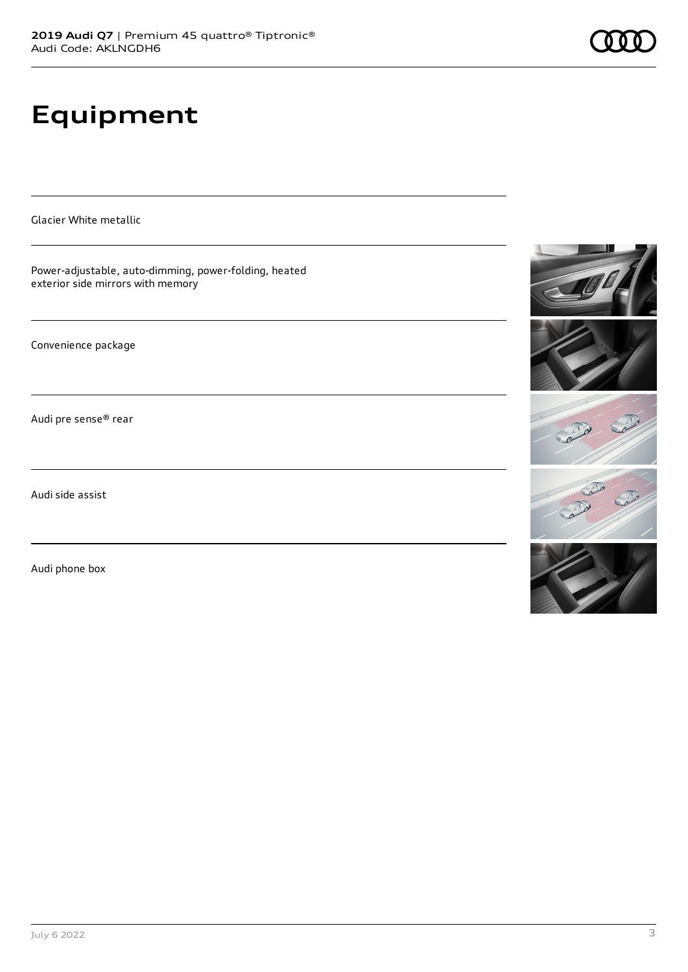# **Equipment**

Glacier White metallic

Power-adjustable, auto-dimming, power-folding, heated exterior side mirrors with memory

Convenience package

Audi pre sense® rear

Audi side assist

Audi phone box







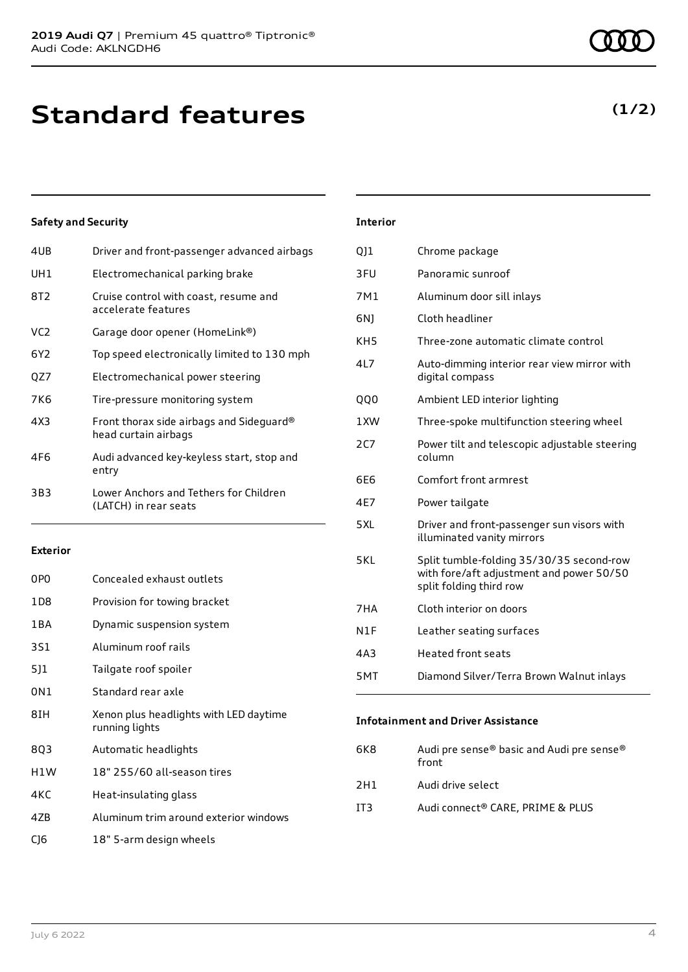## **Standard features**

## **Safety and Security**

| 4UB             | Driver and front-passenger advanced airbags                      |
|-----------------|------------------------------------------------------------------|
| UH1             | Electromechanical parking brake                                  |
| 8T <sub>2</sub> | Cruise control with coast, resume and<br>accelerate features     |
| VC <sub>2</sub> | Garage door opener (HomeLink®)                                   |
| 6Y2             | Top speed electronically limited to 130 mph                      |
| QZ7             | Electromechanical power steering                                 |
| 7K6             | Tire-pressure monitoring system                                  |
| 4X3             | Front thorax side airbags and Sideguard®<br>head curtain airbags |
| 4F6             | Audi advanced key-keyless start, stop and<br>entry               |
| 3B3             | Lower Anchors and Tethers for Children<br>(LATCH) in rear seats  |
|                 |                                                                  |

### **Exterior**

| 0P <sub>0</sub> | Concealed exhaust outlets                                |
|-----------------|----------------------------------------------------------|
| 1 D 8           | Provision for towing bracket                             |
| 1 B A           | Dynamic suspension system                                |
| 3S1             | Aluminum roof rails                                      |
| 511             | Tailgate roof spoiler                                    |
| 0N1             | Standard rear axle                                       |
| 8IH             | Xenon plus headlights with LED daytime<br>running lights |
| 803             | Automatic headlights                                     |
| H1W             | 18" 255/60 all-season tires                              |
| 4KC             | Heat-insulating glass                                    |
| 47 <sub>B</sub> | Aluminum trim around exterior windows                    |
| C16             | 18" 5-arm design wheels                                  |

### **Interior**

| 011   | Chrome package                                                                                                  |
|-------|-----------------------------------------------------------------------------------------------------------------|
| 3FU   | Panoramic sunroof                                                                                               |
| 7M1   | Aluminum door sill inlays                                                                                       |
| 6N)   | Cloth headliner                                                                                                 |
| KH5   | Three-zone automatic climate control                                                                            |
| 417   | Auto-dimming interior rear view mirror with<br>digital compass                                                  |
| QQ0   | Ambient LED interior lighting                                                                                   |
| 1XW   | Three-spoke multifunction steering wheel                                                                        |
| 2C7   | Power tilt and telescopic adjustable steering<br>column                                                         |
| 6F6   | Comfort front armrest                                                                                           |
| 4E7   | Power tailgate                                                                                                  |
| 5XL   | Driver and front-passenger sun visors with<br>illuminated vanity mirrors                                        |
| 5 K I | Split tumble-folding 35/30/35 second-row<br>with fore/aft adjustment and power 50/50<br>split folding third row |
| 7HA   | Cloth interior on doors                                                                                         |
| N1F   | Leather seating surfaces                                                                                        |
| 4A3   | <b>Heated front seats</b>                                                                                       |
| 5MT   | Diamond Silver/Terra Brown Walnut inlays                                                                        |

### **Infotainment and Driver Assistance**

| 6K8 | Audi pre sense® basic and Audi pre sense®<br>front |
|-----|----------------------------------------------------|
| 2H1 | Audi drive select                                  |
| IT3 | Audi connect® CARE. PRIME & PLUS                   |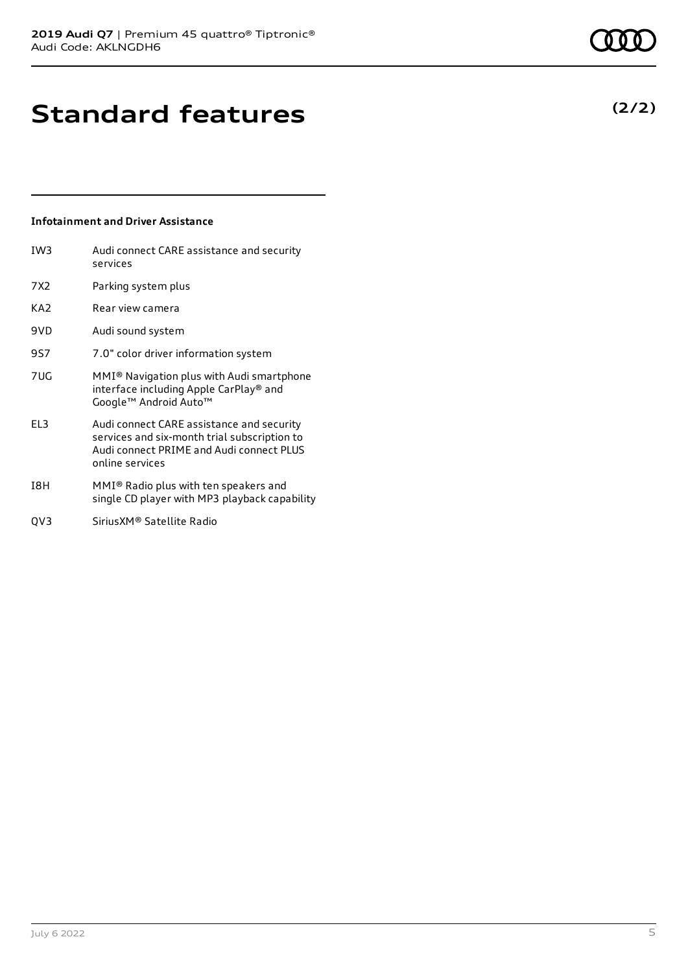## **Standard features**

### **Infotainment and Driver Assistance**

| IW3             | Audi connect CARE assistance and security<br>services                                                                                                    |
|-----------------|----------------------------------------------------------------------------------------------------------------------------------------------------------|
| 7X2             | Parking system plus                                                                                                                                      |
| KA <sub>2</sub> | Rear view camera                                                                                                                                         |
| 9VD             | Audi sound system                                                                                                                                        |
| 9S7             | 7.0" color driver information system                                                                                                                     |
| 7UG             | MMI® Navigation plus with Audi smartphone<br>interface including Apple CarPlay® and<br>Google™ Android Auto™                                             |
| EL3             | Audi connect CARE assistance and security<br>services and six-month trial subscription to<br>Audi connect PRIME and Audi connect PLUS<br>online services |
| I8H             | MMI® Radio plus with ten speakers and<br>single CD player with MP3 playback capability                                                                   |

QV3 SiriusXM® Satellite Radio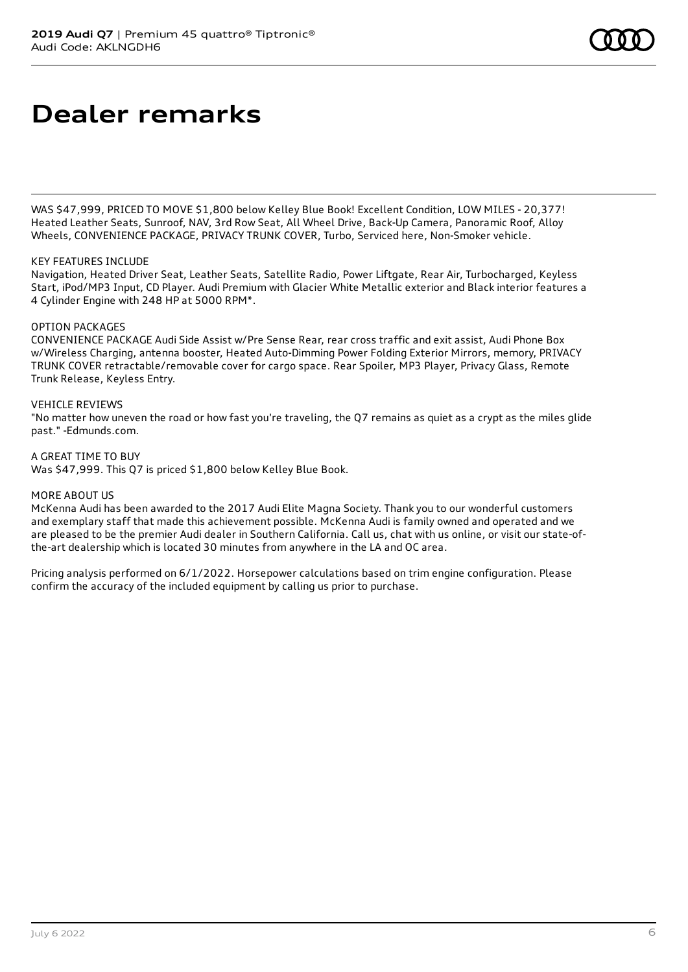WAS \$47,999, PRICED TO MOVE \$1,800 below Kelley Blue Book! Excellent Condition, LOW MILES - 20,377! Heated Leather Seats, Sunroof, NAV, 3rd Row Seat, All Wheel Drive, Back-Up Camera, Panoramic Roof, Alloy Wheels, CONVENIENCE PACKAGE, PRIVACY TRUNK COVER, Turbo, Serviced here, Non-Smoker vehicle.

#### KEY FEATURES INCLUDE

Navigation, Heated Driver Seat, Leather Seats, Satellite Radio, Power Liftgate, Rear Air, Turbocharged, Keyless Start, iPod/MP3 Input, CD Player. Audi Premium with Glacier White Metallic exterior and Black interior features a 4 Cylinder Engine with 248 HP at 5000 RPM\*.

#### OPTION PACKAGES

CONVENIENCE PACKAGE Audi Side Assist w/Pre Sense Rear, rear cross traffic and exit assist, Audi Phone Box w/Wireless Charging, antenna booster, Heated Auto-Dimming Power Folding Exterior Mirrors, memory, PRIVACY TRUNK COVER retractable/removable cover for cargo space. Rear Spoiler, MP3 Player, Privacy Glass, Remote Trunk Release, Keyless Entry.

#### VEHICLE REVIEWS

"No matter how uneven the road or how fast you're traveling, the Q7 remains as quiet as a crypt as the miles glide past." -Edmunds.com.

#### A GREAT TIME TO BUY

Was \$47,999. This Q7 is priced \$1,800 below Kelley Blue Book.

#### MORE ABOUT US

McKenna Audi has been awarded to the 2017 Audi Elite Magna Society. Thank you to our wonderful customers and exemplary staff that made this achievement possible. McKenna Audi is family owned and operated and we are pleased to be the premier Audi dealer in Southern California. Call us, chat with us online, or visit our state-ofthe-art dealership which is located 30 minutes from anywhere in the LA and OC area.

Pricing analysis performed on 6/1/2022. Horsepower calculations based on trim engine configuration. Please confirm the accuracy of the included equipment by calling us prior to purchase.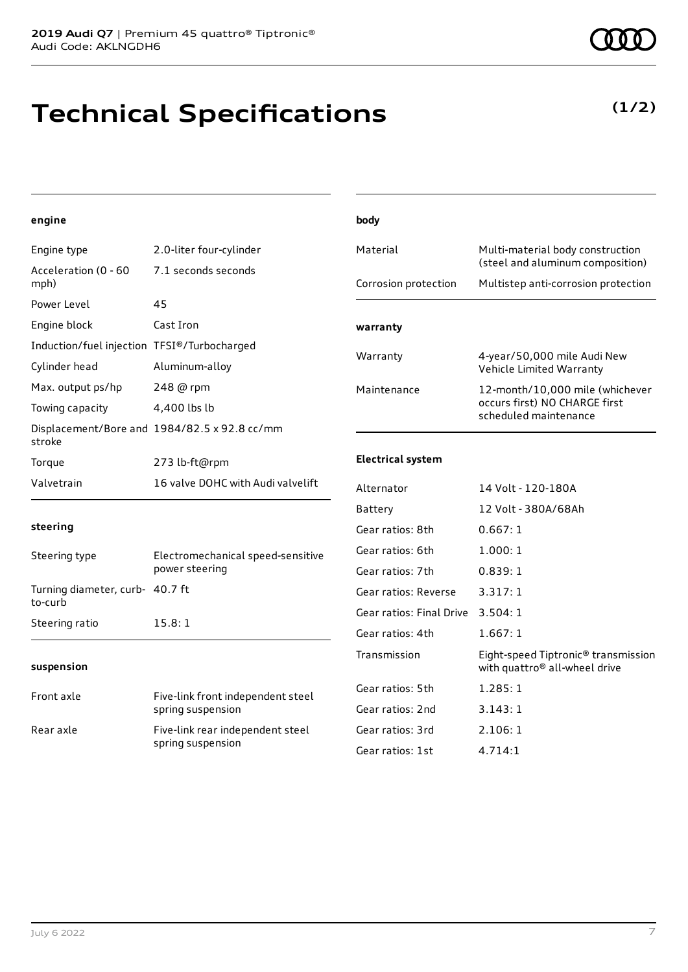## **Technical Specifications**

**(1/2)**

## Engine type 2.0-liter four-cylinder Acceleration (0 - 60 mph) 7.1 seconds seconds Power Level 45 Engine block Cast Iron Induction/fuel injection TFSI®/Turbocharged Cylinder head Aluminum-alloy Max. output ps/hp 248 @ rpm Towing capacity 4,400 lbs lb

| Towing capacity | 4.400 IDS ID                                 |
|-----------------|----------------------------------------------|
| stroke          | Displacement/Bore and 1984/82.5 x 92.8 cc/mm |
| Torgue          | 273 lb-ft@rpm                                |
| Valvetrain      | 16 valve DOHC with Audi valvelift            |

| Corrosion protection | Multistep anti-corrosion protection                                                       |
|----------------------|-------------------------------------------------------------------------------------------|
| warranty             |                                                                                           |
| Warranty             | 4-year/50,000 mile Audi New<br>Vehicle Limited Warranty                                   |
| Maintenance          | 12-month/10,000 mile (whichever<br>occurs first) NO CHARGE first<br>scheduled maintenance |
|                      |                                                                                           |

Material Multi-material body construction

(steel and aluminum composition)

### **Electrical system**

**body**

## **steering**

**engine**

| Steering type                              | Electromechanical speed-sensitive<br>power steering |
|--------------------------------------------|-----------------------------------------------------|
| Turning diameter, curb- 40.7 ft<br>to-curb |                                                     |
| Steering ratio                             | 15.8:1                                              |

#### **suspension**

| Front axle | Five-link front independent steel<br>spring suspension |
|------------|--------------------------------------------------------|
| Rear axle  | Five-link rear independent steel<br>spring suspension  |

| Alternator               | 14 Volt - 120-180A                                                               |
|--------------------------|----------------------------------------------------------------------------------|
| Battery                  | 12 Volt - 380A/68Ah                                                              |
| Gear ratios: 8th         | 0.667:1                                                                          |
| Gear ratios: 6th         | 1.000:1                                                                          |
| Gear ratios: 7th         | 0.839:1                                                                          |
| Gear ratios: Reverse     | 3.317:1                                                                          |
| Gear ratios: Final Drive | 3.504:1                                                                          |
| Gear ratios: 4th         | 1.667:1                                                                          |
| Transmission             | Eight-speed Tiptronic® transmission<br>with quattro <sup>®</sup> all-wheel drive |
| Gear ratios: 5th         | 1.285:1                                                                          |
| Gear ratios: 2nd         | 3.143:1                                                                          |
| Gear ratios: 3rd         | 2.106:1                                                                          |
| Gear ratios: 1st         | 4.714:1                                                                          |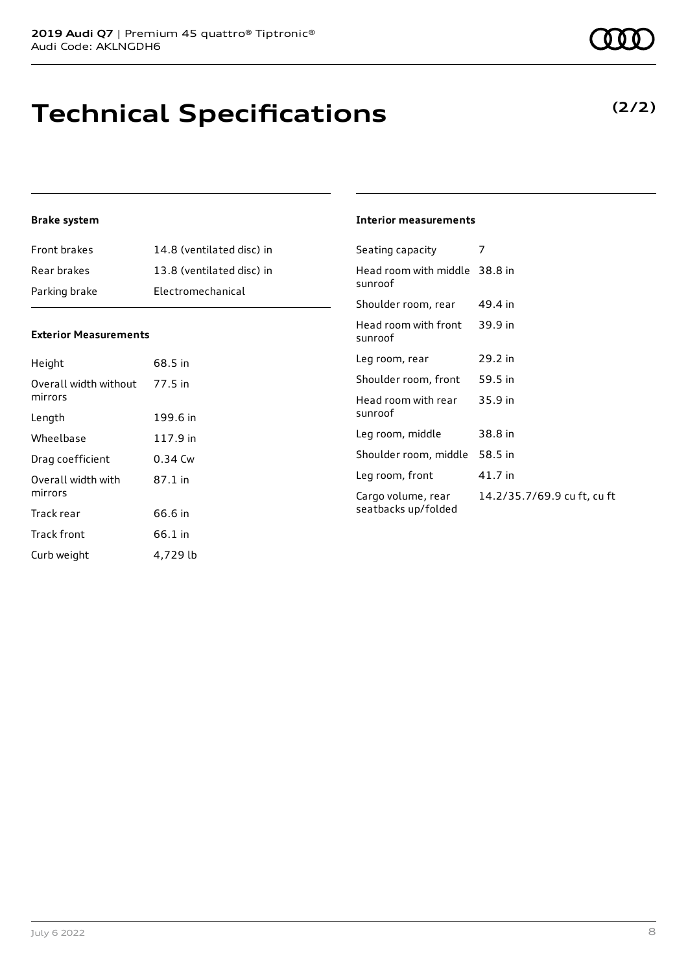## **Technical Specifications**

### **Brake system**

| <b>Front brakes</b> | 14.8 (ventilated disc) in |
|---------------------|---------------------------|
| Rear brakes         | 13.8 (ventilated disc) in |
| Parking brake       | Electromechanical         |

### **Exterior Measurements**

| Height                           | 68.5 in  |
|----------------------------------|----------|
| Overall width without<br>mirrors | 77.5 in  |
| Length                           | 199.6 in |
| Wheelbase                        | 117.9 in |
| Drag coefficient                 | 0.34 Cw  |
| Overall width with<br>mirrors    | 87.1 in  |
| Track rear                       | 66.6 in  |
| <b>Track front</b>               | 66.1 in  |
| Curb weight                      | 4.729 lb |

#### **Interior measurements**

| Seating capacity                          | 7                           |
|-------------------------------------------|-----------------------------|
| Head room with middle 38.8 in<br>sunroof  |                             |
| Shoulder room, rear                       | 49.4 in                     |
| Head room with front<br>sunroof           | 39.9 in                     |
| Leg room, rear                            | 29.2 in                     |
| Shoulder room, front                      | 59.5 in                     |
| Head room with rear<br>sunroof            | $35.9$ in                   |
| Leg room, middle                          | 38.8 in                     |
| Shoulder room, middle                     | 58.5 in                     |
| Leg room, front                           | 41.7 in                     |
| Cargo volume, rear<br>seatbacks up/folded | 14.2/35.7/69.9 cu ft, cu ft |
|                                           |                             |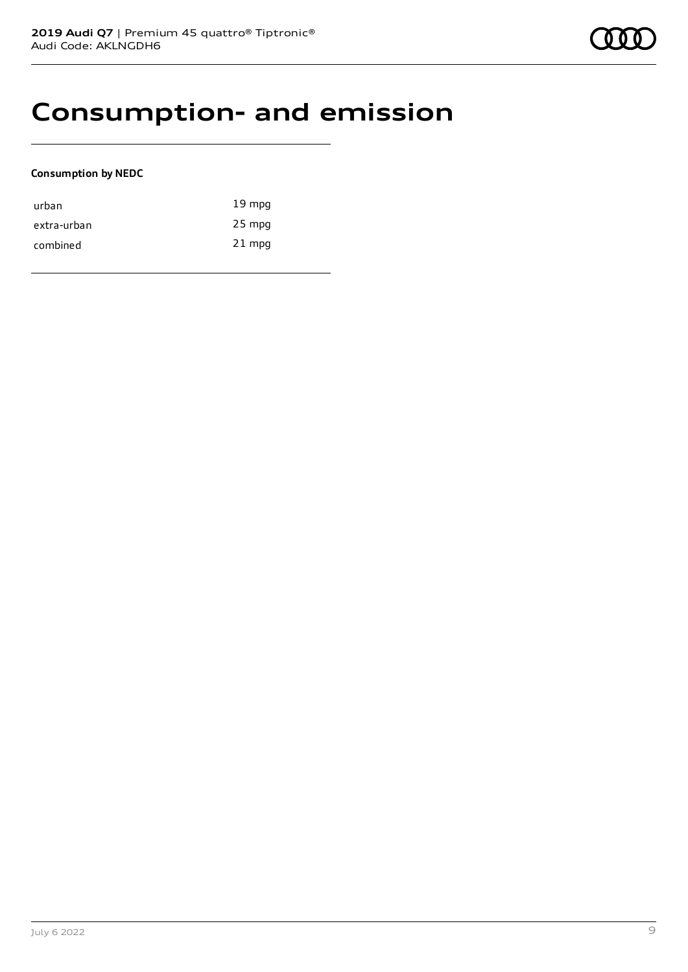## **Consumption- and emission**

### **Consumption by NEDC**

| urban       | $19 \text{ mpg}$ |
|-------------|------------------|
| extra-urban | 25 mpg           |
| combined    | $21$ mpg         |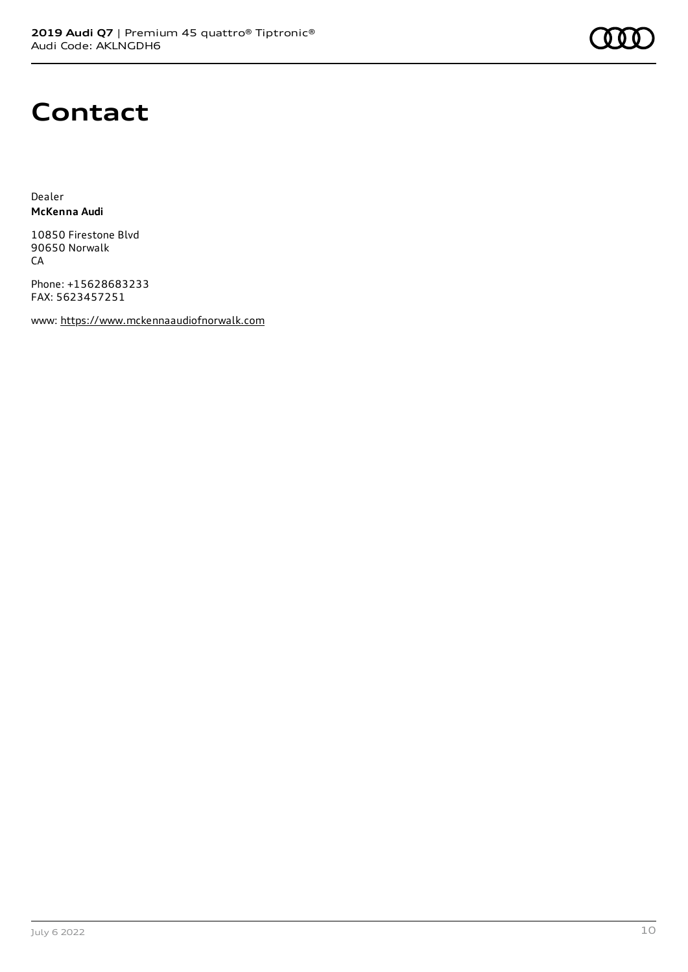## **Contact**

Dealer **McKenna Audi**

10850 Firestone Blvd 90650 Norwalk CA

Phone: +15628683233 FAX: 5623457251

www: [https://www.mckennaaudiofnorwalk.com](https://www.mckennaaudiofnorwalk.com/)